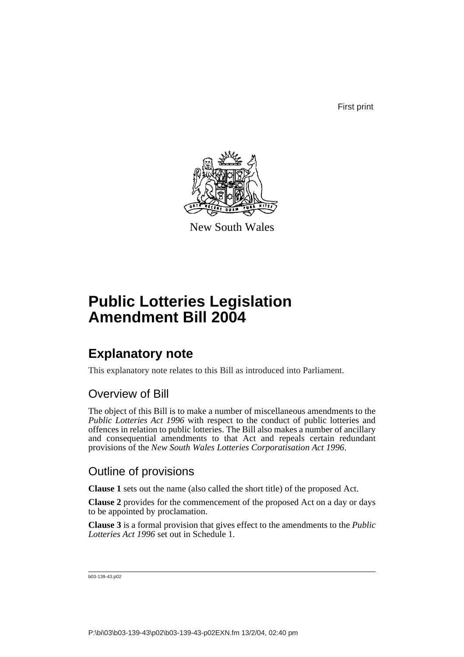First print



New South Wales

# **Public Lotteries Legislation Amendment Bill 2004**

## **Explanatory note**

This explanatory note relates to this Bill as introduced into Parliament.

### Overview of Bill

The object of this Bill is to make a number of miscellaneous amendments to the *Public Lotteries Act 1996* with respect to the conduct of public lotteries and offences in relation to public lotteries. The Bill also makes a number of ancillary and consequential amendments to that Act and repeals certain redundant provisions of the *New South Wales Lotteries Corporatisation Act 1996*.

### Outline of provisions

**Clause 1** sets out the name (also called the short title) of the proposed Act.

**Clause 2** provides for the commencement of the proposed Act on a day or days to be appointed by proclamation.

**Clause 3** is a formal provision that gives effect to the amendments to the *Public Lotteries Act 1996* set out in Schedule 1.

```
b03-139-43.p02
```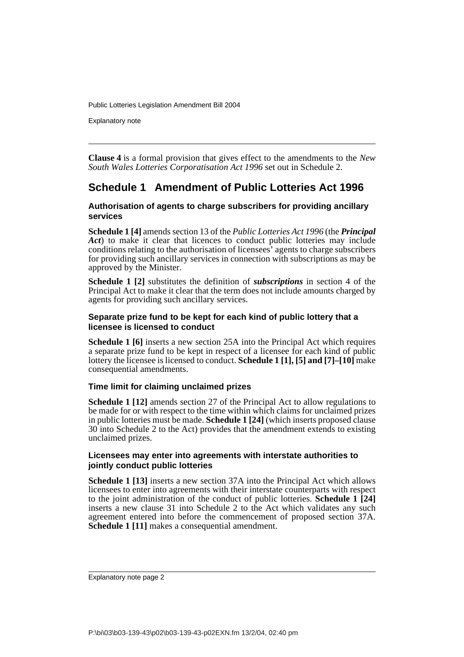Explanatory note

**Clause 4** is a formal provision that gives effect to the amendments to the *New South Wales Lotteries Corporatisation Act 1996* set out in Schedule 2.

### **Schedule 1 Amendment of Public Lotteries Act 1996**

#### **Authorisation of agents to charge subscribers for providing ancillary services**

**Schedule 1 [4]** amends section 13 of the *Public Lotteries Act 1996* (the *Principal Act*) to make it clear that licences to conduct public lotteries may include conditions relating to the authorisation of licensees' agents to charge subscribers for providing such ancillary services in connection with subscriptions as may be approved by the Minister.

**Schedule 1 [2]** substitutes the definition of *subscriptions* in section 4 of the Principal Act to make it clear that the term does not include amounts charged by agents for providing such ancillary services.

#### **Separate prize fund to be kept for each kind of public lottery that a licensee is licensed to conduct**

**Schedule 1 [6]** inserts a new section 25A into the Principal Act which requires a separate prize fund to be kept in respect of a licensee for each kind of public lottery the licensee is licensed to conduct. **Schedule 1 [1], [5] and [7]–[10]** make consequential amendments.

#### **Time limit for claiming unclaimed prizes**

**Schedule 1 [12]** amends section 27 of the Principal Act to allow regulations to be made for or with respect to the time within which claims for unclaimed prizes in public lotteries must be made. **Schedule 1 [24]** (which inserts proposed clause 30 into Schedule 2 to the Act) provides that the amendment extends to existing unclaimed prizes.

#### **Licensees may enter into agreements with interstate authorities to jointly conduct public lotteries**

**Schedule 1 [13]** inserts a new section 37A into the Principal Act which allows licensees to enter into agreements with their interstate counterparts with respect to the joint administration of the conduct of public lotteries. **Schedule 1 [24]** inserts a new clause 31 into Schedule 2 to the Act which validates any such agreement entered into before the commencement of proposed section 37A. **Schedule 1 [11]** makes a consequential amendment.

Explanatory note page 2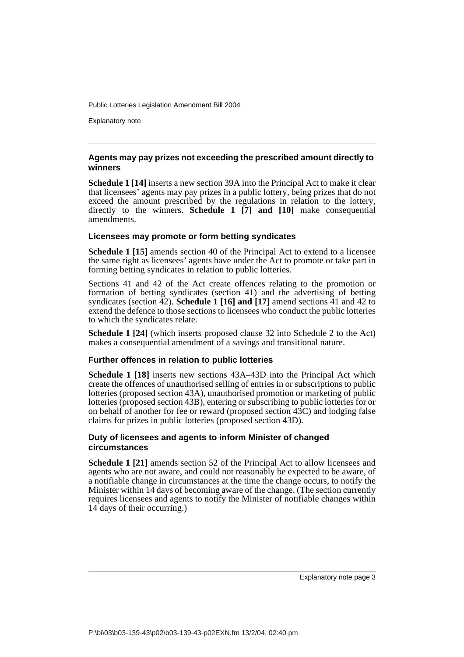Explanatory note

#### **Agents may pay prizes not exceeding the prescribed amount directly to winners**

**Schedule 1 [14]** inserts a new section 39A into the Principal Act to make it clear that licensees' agents may pay prizes in a public lottery, being prizes that do not exceed the amount prescribed by the regulations in relation to the lottery, directly to the winners. **Schedule 1 [7] and [10]** make consequential amendments.

#### **Licensees may promote or form betting syndicates**

**Schedule 1 [15]** amends section 40 of the Principal Act to extend to a licensee the same right as licensees' agents have under the Act to promote or take part in forming betting syndicates in relation to public lotteries.

Sections 41 and 42 of the Act create offences relating to the promotion or formation of betting syndicates (section 41) and the advertising of betting syndicates (section  $\overline{42}$ ). **Schedule 1 [16] and [17]** amend sections  $\overline{41}$  and  $\overline{42}$  to extend the defence to those sections to licensees who conduct the public lotteries to which the syndicates relate.

**Schedule 1 [24]** (which inserts proposed clause 32 into Schedule 2 to the Act) makes a consequential amendment of a savings and transitional nature.

#### **Further offences in relation to public lotteries**

**Schedule 1 [18]** inserts new sections 43A–43D into the Principal Act which create the offences of unauthorised selling of entries in or subscriptions to public lotteries (proposed section 43A), unauthorised promotion or marketing of public lotteries (proposed section 43B), entering or subscribing to public lotteries for or on behalf of another for fee or reward (proposed section 43C) and lodging false claims for prizes in public lotteries (proposed section 43D).

#### **Duty of licensees and agents to inform Minister of changed circumstances**

**Schedule 1 [21]** amends section 52 of the Principal Act to allow licensees and agents who are not aware, and could not reasonably be expected to be aware, of a notifiable change in circumstances at the time the change occurs, to notify the Minister within 14 days of becoming aware of the change. (The section currently requires licensees and agents to notify the Minister of notifiable changes within 14 days of their occurring.)

Explanatory note page 3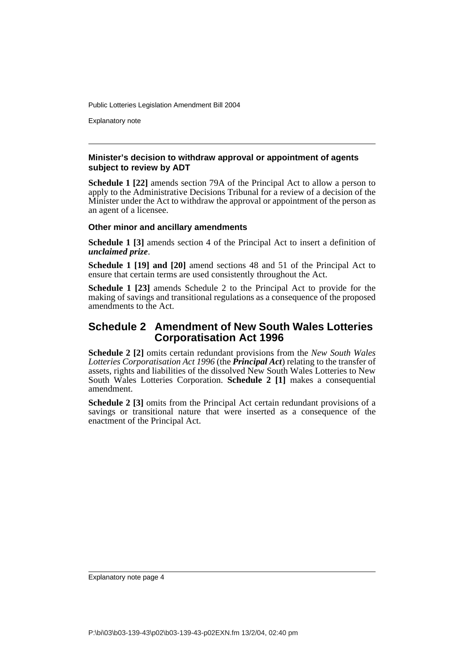Explanatory note

#### **Minister's decision to withdraw approval or appointment of agents subject to review by ADT**

**Schedule 1 [22]** amends section 79A of the Principal Act to allow a person to apply to the Administrative Decisions Tribunal for a review of a decision of the Minister under the Act to withdraw the approval or appointment of the person as an agent of a licensee.

#### **Other minor and ancillary amendments**

**Schedule 1 [3]** amends section 4 of the Principal Act to insert a definition of *unclaimed prize*.

**Schedule 1 [19] and [20]** amend sections 48 and 51 of the Principal Act to ensure that certain terms are used consistently throughout the Act.

**Schedule 1 [23]** amends Schedule 2 to the Principal Act to provide for the making of savings and transitional regulations as a consequence of the proposed amendments to the Act.

#### **Schedule 2 Amendment of New South Wales Lotteries Corporatisation Act 1996**

**Schedule 2 [2]** omits certain redundant provisions from the *New South Wales Lotteries Corporatisation Act 1996* (the *Principal Act*) relating to the transfer of assets, rights and liabilities of the dissolved New South Wales Lotteries to New South Wales Lotteries Corporation. **Schedule 2 [1]** makes a consequential amendment.

**Schedule 2** [3] omits from the Principal Act certain redundant provisions of a savings or transitional nature that were inserted as a consequence of the enactment of the Principal Act.

Explanatory note page 4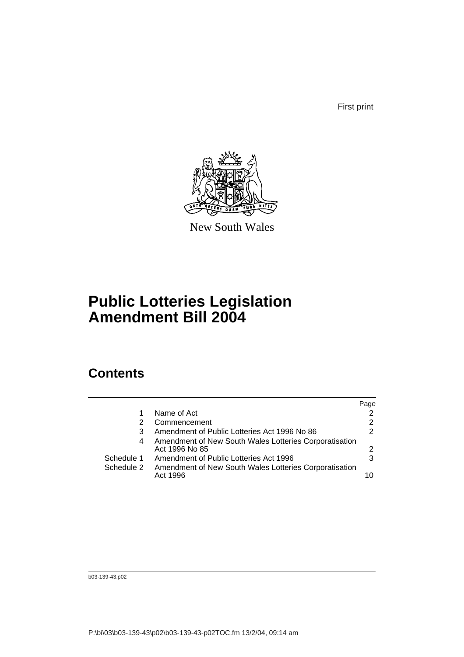First print



New South Wales

# **Public Lotteries Legislation Amendment Bill 2004**

### **Contents**

|            |                                                                    | Page |
|------------|--------------------------------------------------------------------|------|
|            | Name of Act                                                        |      |
| 2          | Commencement                                                       | 2    |
| 3          | Amendment of Public Lotteries Act 1996 No 86                       | 2    |
| 4          | Amendment of New South Wales Lotteries Corporatisation             |      |
|            | Act 1996 No 85                                                     | 2    |
| Schedule 1 | Amendment of Public Lotteries Act 1996                             | 3    |
| Schedule 2 | Amendment of New South Wales Lotteries Corporatisation<br>Act 1996 | 10   |

b03-139-43.p02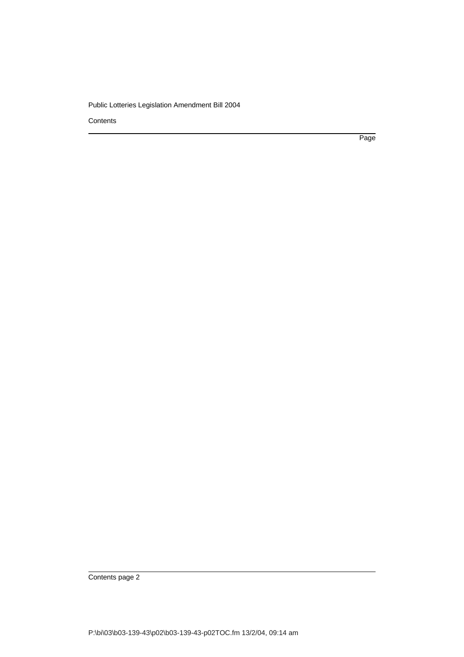**Contents** 

Page

Contents page 2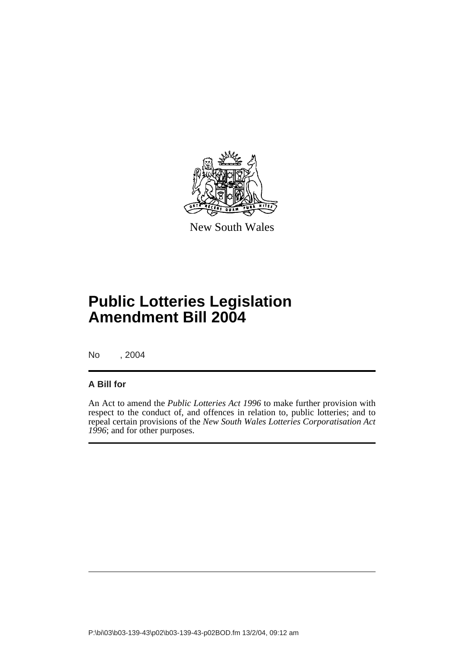

New South Wales

# **Public Lotteries Legislation Amendment Bill 2004**

No , 2004

#### **A Bill for**

An Act to amend the *Public Lotteries Act 1996* to make further provision with respect to the conduct of, and offences in relation to, public lotteries; and to repeal certain provisions of the *New South Wales Lotteries Corporatisation Act 1996*; and for other purposes.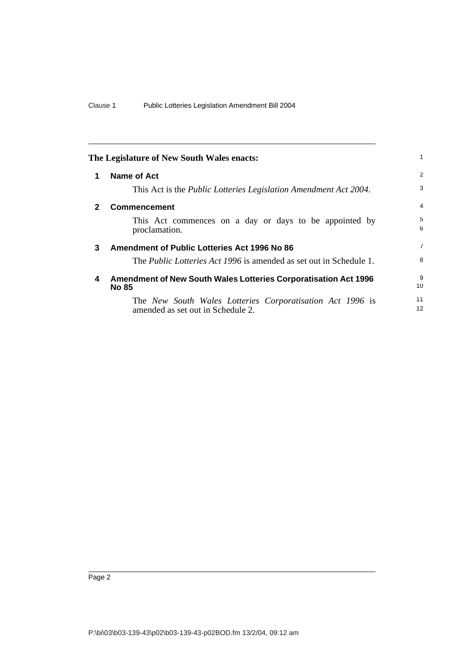<span id="page-7-3"></span><span id="page-7-2"></span><span id="page-7-1"></span><span id="page-7-0"></span>

|   | The Legislature of New South Wales enacts:                                                     | 1                     |
|---|------------------------------------------------------------------------------------------------|-----------------------|
| 1 | Name of Act                                                                                    | 2                     |
|   | This Act is the <i>Public Lotteries Legislation Amendment Act 2004</i> .                       | 3                     |
| 2 | <b>Commencement</b>                                                                            | 4                     |
|   | This Act commences on a day or days to be appointed by<br>proclamation.                        | 5<br>6                |
| 3 | Amendment of Public Lotteries Act 1996 No 86                                                   | $\overline{7}$        |
|   | The <i>Public Lotteries Act 1996</i> is amended as set out in Schedule 1.                      | 8                     |
| 4 | <b>Amendment of New South Wales Lotteries Corporatisation Act 1996</b><br><b>No 85</b>         | 9<br>10               |
|   | The New South Wales Lotteries Corporatisation Act 1996 is<br>amended as set out in Schedule 2. | 11<br>12 <sup>2</sup> |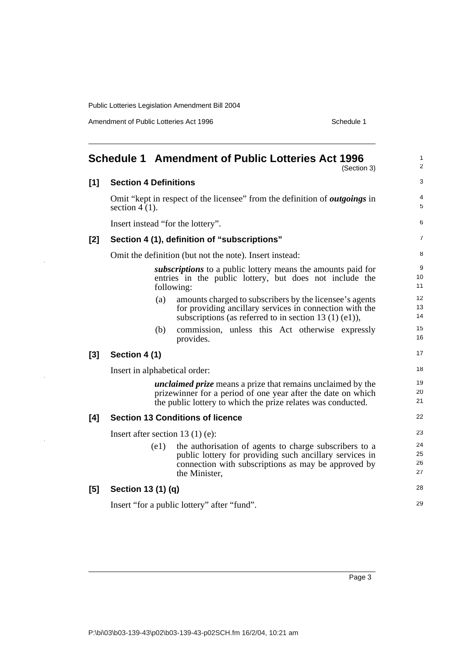Amendment of Public Lotteries Act 1996 Schedule 1

<span id="page-8-0"></span>

|       |                                                         | <b>Schedule 1 Amendment of Public Lotteries Act 1996</b><br>(Section 3)                                                                                                                            | $\mathbf{1}$<br>$\overline{2}$ |
|-------|---------------------------------------------------------|----------------------------------------------------------------------------------------------------------------------------------------------------------------------------------------------------|--------------------------------|
| [1]   | <b>Section 4 Definitions</b>                            |                                                                                                                                                                                                    | 3                              |
|       | section $4(1)$ .                                        | Omit "kept in respect of the licensee" from the definition of <i>outgoings</i> in                                                                                                                  | 4<br>$\sqrt{5}$                |
|       | Insert instead "for the lottery".                       |                                                                                                                                                                                                    | 6                              |
| [2]   | Section 4 (1), definition of "subscriptions"            |                                                                                                                                                                                                    | 7                              |
|       | Omit the definition (but not the note). Insert instead: |                                                                                                                                                                                                    | 8                              |
|       | following:                                              | subscriptions to a public lottery means the amounts paid for<br>entries in the public lottery, but does not include the                                                                            | 9<br>10<br>11                  |
|       | (a)                                                     | amounts charged to subscribers by the licensee's agents<br>for providing ancillary services in connection with the<br>subscriptions (as referred to in section 13 $(1)$ (e1)),                     | 12<br>13<br>14                 |
|       | (b)<br>provides.                                        | commission, unless this Act otherwise expressly                                                                                                                                                    | 15<br>16                       |
| $[3]$ | Section 4 (1)                                           |                                                                                                                                                                                                    | 17                             |
|       | Insert in alphabetical order:                           |                                                                                                                                                                                                    | 18                             |
|       |                                                         | <i>unclaimed prize</i> means a prize that remains unclaimed by the<br>prizewinner for a period of one year after the date on which<br>the public lottery to which the prize relates was conducted. | 19<br>20<br>21                 |
| [4]   | <b>Section 13 Conditions of licence</b>                 |                                                                                                                                                                                                    | 22                             |
|       | Insert after section 13 $(1)$ (e):                      |                                                                                                                                                                                                    | 23                             |
|       | (e1)<br>the Minister,                                   | the authorisation of agents to charge subscribers to a<br>public lottery for providing such ancillary services in<br>connection with subscriptions as may be approved by                           | 24<br>25<br>26<br>27           |
| [5]   | Section 13 (1) (q)                                      |                                                                                                                                                                                                    | 28                             |
|       | Insert "for a public lottery" after "fund".             |                                                                                                                                                                                                    | 29                             |
|       |                                                         |                                                                                                                                                                                                    |                                |

Page 3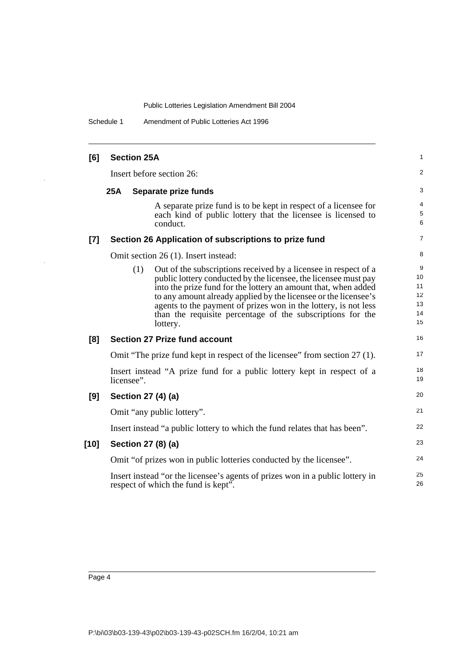Schedule 1 Amendment of Public Lotteries Act 1996

| [6]    |            | <b>Section 25A</b>                                                                                                                                                                                                                                                                                                                                                                                                          | 1                                     |
|--------|------------|-----------------------------------------------------------------------------------------------------------------------------------------------------------------------------------------------------------------------------------------------------------------------------------------------------------------------------------------------------------------------------------------------------------------------------|---------------------------------------|
|        |            | Insert before section 26:                                                                                                                                                                                                                                                                                                                                                                                                   | $\overline{c}$                        |
|        | <b>25A</b> | Separate prize funds                                                                                                                                                                                                                                                                                                                                                                                                        | 3                                     |
|        |            | A separate prize fund is to be kept in respect of a licensee for<br>each kind of public lottery that the licensee is licensed to<br>conduct.                                                                                                                                                                                                                                                                                | 4<br>5<br>6                           |
| $[7]$  |            | Section 26 Application of subscriptions to prize fund                                                                                                                                                                                                                                                                                                                                                                       | 7                                     |
|        |            | Omit section 26 (1). Insert instead:                                                                                                                                                                                                                                                                                                                                                                                        | 8                                     |
|        |            | Out of the subscriptions received by a licensee in respect of a<br>(1)<br>public lottery conducted by the licensee, the licensee must pay<br>into the prize fund for the lottery an amount that, when added<br>to any amount already applied by the licensee or the licensee's<br>agents to the payment of prizes won in the lottery, is not less<br>than the requisite percentage of the subscriptions for the<br>lottery. | 9<br>10<br>11<br>12<br>13<br>14<br>15 |
| [8]    |            | <b>Section 27 Prize fund account</b>                                                                                                                                                                                                                                                                                                                                                                                        | 16                                    |
|        |            | Omit "The prize fund kept in respect of the licensee" from section 27 (1).                                                                                                                                                                                                                                                                                                                                                  | 17                                    |
|        |            | Insert instead "A prize fund for a public lottery kept in respect of a<br>licensee".                                                                                                                                                                                                                                                                                                                                        | 18<br>19                              |
| [9]    |            | Section 27 (4) (a)                                                                                                                                                                                                                                                                                                                                                                                                          | 20                                    |
|        |            | Omit "any public lottery".                                                                                                                                                                                                                                                                                                                                                                                                  | 21                                    |
|        |            | Insert instead "a public lottery to which the fund relates that has been".                                                                                                                                                                                                                                                                                                                                                  | 22                                    |
| $[10]$ |            | Section 27 (8) (a)                                                                                                                                                                                                                                                                                                                                                                                                          | 23                                    |
|        |            | Omit "of prizes won in public lotteries conducted by the licensee".                                                                                                                                                                                                                                                                                                                                                         | 24                                    |
|        |            | Insert instead "or the licensee's agents of prizes won in a public lottery in<br>respect of which the fund is kept".                                                                                                                                                                                                                                                                                                        | 25<br>26                              |

 $\bar{z}$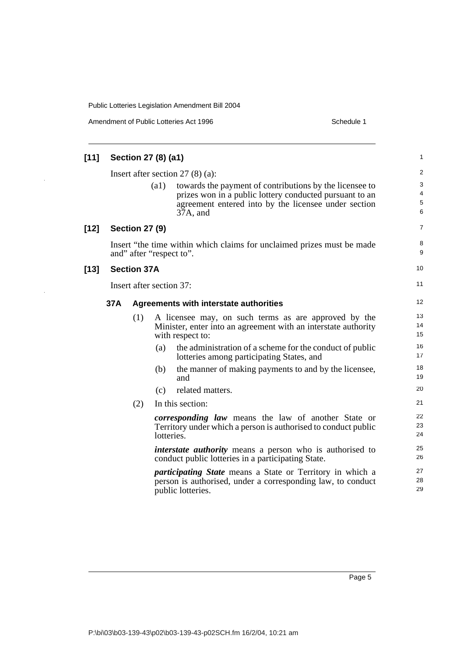$\frac{1}{2}$ 

| Amendment of Public Lotteries Act 1996 | Schedule 1 |
|----------------------------------------|------------|
|----------------------------------------|------------|

| [11]   |     |                       | Section 27 (8) (a1)      |                                                                                                                                                                                        | 1                       |
|--------|-----|-----------------------|--------------------------|----------------------------------------------------------------------------------------------------------------------------------------------------------------------------------------|-------------------------|
|        |     |                       |                          | Insert after section $27(8)(a)$ :                                                                                                                                                      | $\overline{\mathbf{c}}$ |
|        |     |                       | (a1)                     | towards the payment of contributions by the licensee to<br>prizes won in a public lottery conducted pursuant to an<br>agreement entered into by the licensee under section<br>37A, and | 3<br>4<br>5<br>6        |
| $[12]$ |     | <b>Section 27 (9)</b> |                          |                                                                                                                                                                                        | 7                       |
|        |     |                       |                          | Insert "the time within which claims for unclaimed prizes must be made<br>and" after "respect to".                                                                                     | 8<br>9                  |
| $[13]$ |     | <b>Section 37A</b>    |                          |                                                                                                                                                                                        | 10                      |
|        |     |                       | Insert after section 37: |                                                                                                                                                                                        | 11                      |
|        | 37A |                       |                          | Agreements with interstate authorities                                                                                                                                                 | 12                      |
|        |     | (1)                   |                          | A licensee may, on such terms as are approved by the<br>Minister, enter into an agreement with an interstate authority<br>with respect to:                                             | 13<br>14<br>15          |
|        |     |                       | (a)                      | the administration of a scheme for the conduct of public<br>lotteries among participating States, and                                                                                  | 16<br>17                |
|        |     |                       | (b)                      | the manner of making payments to and by the licensee,<br>and                                                                                                                           | 18<br>19                |
|        |     |                       | (c)                      | related matters.                                                                                                                                                                       | 20                      |
|        |     | (2)                   |                          | In this section:                                                                                                                                                                       | 21                      |
|        |     |                       | lotteries.               | <i>corresponding law</i> means the law of another State or<br>Territory under which a person is authorised to conduct public                                                           | 22<br>23<br>24          |
|        |     |                       |                          | <i>interstate authority</i> means a person who is authorised to<br>conduct public lotteries in a participating State.                                                                  | 25<br>26                |
|        |     |                       |                          | <i>participating State</i> means a State or Territory in which a<br>person is authorised, under a corresponding law, to conduct<br>public lotteries.                                   | 27<br>28<br>29          |
|        |     |                       |                          |                                                                                                                                                                                        |                         |

Page 5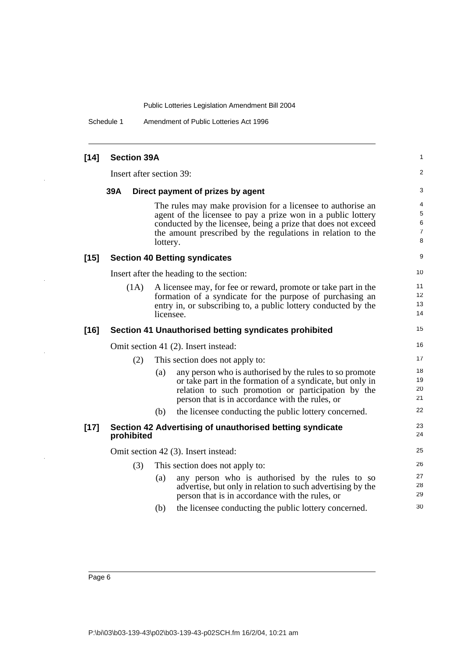Schedule 1 Amendment of Public Lotteries Act 1996

| $[14]$ | <b>Section 39A</b>       |           |                                                                                                                                                                                                                                                             | 1                     |
|--------|--------------------------|-----------|-------------------------------------------------------------------------------------------------------------------------------------------------------------------------------------------------------------------------------------------------------------|-----------------------|
|        | Insert after section 39: |           |                                                                                                                                                                                                                                                             | 2                     |
|        | 39A                      |           | Direct payment of prizes by agent                                                                                                                                                                                                                           | 3                     |
|        |                          | lottery.  | The rules may make provision for a licensee to authorise an<br>agent of the licensee to pay a prize won in a public lottery<br>conducted by the licensee, being a prize that does not exceed<br>the amount prescribed by the regulations in relation to the | 4<br>5<br>6<br>7<br>8 |
| $[15]$ |                          |           | <b>Section 40 Betting syndicates</b>                                                                                                                                                                                                                        | 9                     |
|        |                          |           | Insert after the heading to the section:                                                                                                                                                                                                                    | 10                    |
|        | (1A)                     | licensee. | A licensee may, for fee or reward, promote or take part in the<br>formation of a syndicate for the purpose of purchasing an<br>entry in, or subscribing to, a public lottery conducted by the                                                               | 11<br>12<br>13<br>14  |
| $[16]$ |                          |           | Section 41 Unauthorised betting syndicates prohibited                                                                                                                                                                                                       | 15                    |
|        |                          |           | Omit section 41 (2). Insert instead:                                                                                                                                                                                                                        | 16                    |
|        | (2)                      |           | This section does not apply to:                                                                                                                                                                                                                             | 17                    |
|        |                          | (a)       | any person who is authorised by the rules to so promote<br>or take part in the formation of a syndicate, but only in<br>relation to such promotion or participation by the<br>person that is in accordance with the rules, or                               | 18<br>19<br>20<br>21  |
|        |                          | (b)       | the licensee conducting the public lottery concerned.                                                                                                                                                                                                       | 22                    |
| $[17]$ | prohibited               |           | Section 42 Advertising of unauthorised betting syndicate                                                                                                                                                                                                    | 23<br>24              |
|        |                          |           | Omit section 42 (3). Insert instead:                                                                                                                                                                                                                        | 25                    |
|        | (3)                      |           | This section does not apply to:                                                                                                                                                                                                                             | 26                    |
|        |                          | (a)       | any person who is authorised by the rules to so<br>advertise, but only in relation to such advertising by the<br>person that is in accordance with the rules, or                                                                                            | 27<br>28<br>29        |
|        |                          | (b)       | the licensee conducting the public lottery concerned.                                                                                                                                                                                                       | 30                    |
|        |                          |           |                                                                                                                                                                                                                                                             |                       |

 $\overline{a}$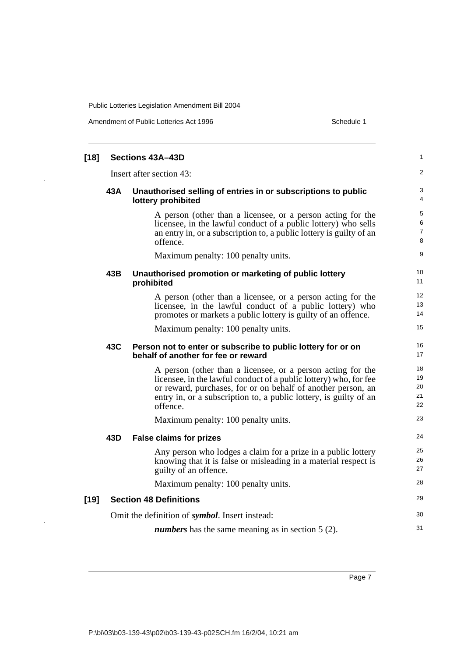Amendment of Public Lotteries Act 1996 Schedule 1

| $[18]$                                                   |                          | Sections 43A-43D                                                                                                                                                                                                                                                                  | 1                             |
|----------------------------------------------------------|--------------------------|-----------------------------------------------------------------------------------------------------------------------------------------------------------------------------------------------------------------------------------------------------------------------------------|-------------------------------|
|                                                          | Insert after section 43: |                                                                                                                                                                                                                                                                                   |                               |
|                                                          | 43A                      | Unauthorised selling of entries in or subscriptions to public<br>lottery prohibited                                                                                                                                                                                               | 3<br>4                        |
|                                                          |                          | A person (other than a licensee, or a person acting for the<br>licensee, in the lawful conduct of a public lottery) who sells<br>an entry in, or a subscription to, a public lottery is guilty of an<br>offence.                                                                  | 5<br>6<br>$\overline{7}$<br>8 |
|                                                          |                          | Maximum penalty: 100 penalty units.                                                                                                                                                                                                                                               | 9                             |
|                                                          | 43B                      | Unauthorised promotion or marketing of public lottery<br>prohibited                                                                                                                                                                                                               | 10<br>11                      |
|                                                          |                          | A person (other than a licensee, or a person acting for the<br>licensee, in the lawful conduct of a public lottery) who<br>promotes or markets a public lottery is guilty of an offence.                                                                                          | 12<br>13<br>14                |
|                                                          |                          | Maximum penalty: 100 penalty units.                                                                                                                                                                                                                                               | 15                            |
|                                                          | 43C                      | Person not to enter or subscribe to public lottery for or on<br>behalf of another for fee or reward                                                                                                                                                                               | 16<br>17                      |
|                                                          |                          | A person (other than a licensee, or a person acting for the<br>licensee, in the lawful conduct of a public lottery) who, for fee<br>or reward, purchases, for or on behalf of another person, an<br>entry in, or a subscription to, a public lottery, is guilty of an<br>offence. | 18<br>19<br>20<br>21<br>22    |
|                                                          |                          | Maximum penalty: 100 penalty units.                                                                                                                                                                                                                                               | 23                            |
|                                                          | 43D                      | <b>False claims for prizes</b>                                                                                                                                                                                                                                                    | 24                            |
|                                                          |                          | Any person who lodges a claim for a prize in a public lottery<br>knowing that it is false or misleading in a material respect is<br>guilty of an offence.                                                                                                                         | 25<br>26<br>27                |
|                                                          |                          | Maximum penalty: 100 penalty units.                                                                                                                                                                                                                                               | 28                            |
| $[19]$                                                   |                          | <b>Section 48 Definitions</b>                                                                                                                                                                                                                                                     | 29                            |
|                                                          |                          | Omit the definition of <i>symbol</i> . Insert instead:                                                                                                                                                                                                                            | 30                            |
| <i>numbers</i> has the same meaning as in section 5 (2). |                          |                                                                                                                                                                                                                                                                                   |                               |

Page 7

l,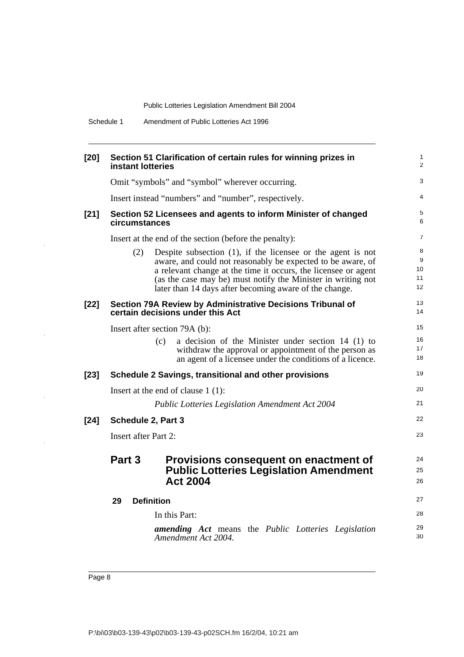| Schedule 1 | Amendment of Public Lotteries Act 1996 |  |
|------------|----------------------------------------|--|
|------------|----------------------------------------|--|

| $[20]$ | Section 51 Clarification of certain rules for winning prizes in<br>instant lotteries                                                                                                                                                                                                                                             | $\mathbf{1}$<br>2        |
|--------|----------------------------------------------------------------------------------------------------------------------------------------------------------------------------------------------------------------------------------------------------------------------------------------------------------------------------------|--------------------------|
|        | Omit "symbols" and "symbol" wherever occurring.                                                                                                                                                                                                                                                                                  | 3                        |
|        | Insert instead "numbers" and "number", respectively.                                                                                                                                                                                                                                                                             | 4                        |
| $[21]$ | Section 52 Licensees and agents to inform Minister of changed<br>circumstances                                                                                                                                                                                                                                                   | 5<br>6                   |
|        | Insert at the end of the section (before the penalty):                                                                                                                                                                                                                                                                           | 7                        |
|        | Despite subsection $(1)$ , if the licensee or the agent is not<br>(2)<br>aware, and could not reasonably be expected to be aware, of<br>a relevant change at the time it occurs, the licensee or agent<br>(as the case may be) must notify the Minister in writing not<br>later than 14 days after becoming aware of the change. | 8<br>9<br>10<br>11<br>12 |
| $[22]$ | Section 79A Review by Administrative Decisions Tribunal of<br>certain decisions under this Act                                                                                                                                                                                                                                   | 13<br>14                 |
|        | Insert after section 79A (b):                                                                                                                                                                                                                                                                                                    | 15                       |
|        | a decision of the Minister under section 14 (1) to<br>(c)<br>withdraw the approval or appointment of the person as<br>an agent of a licensee under the conditions of a licence.                                                                                                                                                  | 16<br>17<br>18           |
| $[23]$ | Schedule 2 Savings, transitional and other provisions                                                                                                                                                                                                                                                                            | 19                       |
|        | Insert at the end of clause $1(1)$ :                                                                                                                                                                                                                                                                                             | 20                       |
|        | <b>Public Lotteries Legislation Amendment Act 2004</b>                                                                                                                                                                                                                                                                           | 21                       |
| $[24]$ | Schedule 2, Part 3                                                                                                                                                                                                                                                                                                               | 22                       |
|        | <b>Insert after Part 2:</b>                                                                                                                                                                                                                                                                                                      | 23                       |
|        | Part 3<br>Provisions consequent on enactment of<br><b>Public Lotteries Legislation Amendment</b><br><b>Act 2004</b>                                                                                                                                                                                                              | 24<br>25<br>26           |
|        | 29<br><b>Definition</b>                                                                                                                                                                                                                                                                                                          | 27                       |
|        | In this Part:                                                                                                                                                                                                                                                                                                                    | 28                       |
|        | <b>amending Act</b> means the Public Lotteries Legislation<br>Amendment Act 2004.                                                                                                                                                                                                                                                | 29<br>30                 |

 $\hat{\mathcal{A}}$ 

 $\ddot{\phantom{1}}$ 

 $\frac{1}{2}$ 

 $\ddot{\phantom{a}}$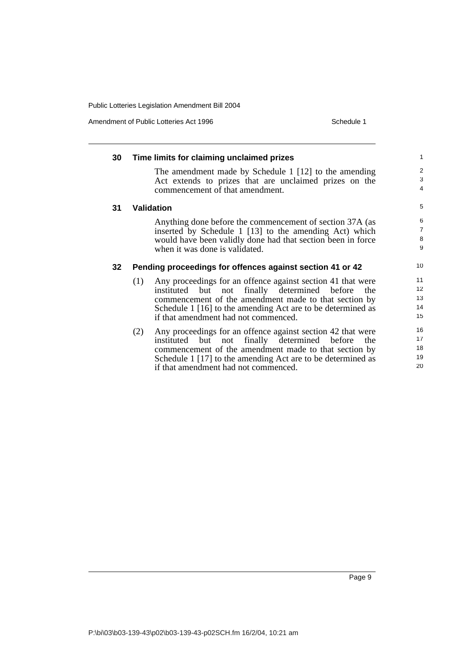Amendment of Public Lotteries Act 1996 Schedule 1

| 30 | Time limits for claiming unclaimed prizes                                                                                                                                                                                                                                                          | 1                                               |
|----|----------------------------------------------------------------------------------------------------------------------------------------------------------------------------------------------------------------------------------------------------------------------------------------------------|-------------------------------------------------|
|    | The amendment made by Schedule 1 [12] to the amending<br>Act extends to prizes that are unclaimed prizes on the<br>commencement of that amendment.                                                                                                                                                 | $\overline{\mathbf{c}}$<br>3<br>$\overline{4}$  |
| 31 | <b>Validation</b>                                                                                                                                                                                                                                                                                  | 5                                               |
|    | Anything done before the commencement of section 37A (as<br>inserted by Schedule 1 [13] to the amending Act) which<br>would have been validly done had that section been in force<br>when it was done is validated.                                                                                | 6<br>$\begin{array}{c} 7 \\ 8 \end{array}$<br>9 |
| 32 | Pending proceedings for offences against section 41 or 42                                                                                                                                                                                                                                          | 10                                              |
|    | Any proceedings for an offence against section 41 that were<br>(1)<br>not finally determined before<br>instituted<br>but<br>the<br>commencement of the amendment made to that section by<br>Schedule 1 [16] to the amending Act are to be determined as<br>if that amendment had not commenced.    | 11<br>12<br>13<br>14<br>15                      |
|    | Any proceedings for an offence against section 42 that were<br>(2)<br>not finally determined<br>before<br>instituted<br>but<br>the<br>commencement of the amendment made to that section by<br>Schedule 1 [17] to the amending Act are to be determined as<br>if that amendment had not commenced. | 16<br>17<br>18<br>19<br>20                      |